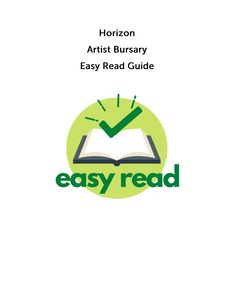**Horizon Artist Bursary Easy Read Guide** 

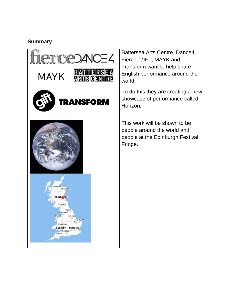### **Summary**

| JCE 4<br><b>MAYK</b>                                                                                                                                                                                     | Battersea Arts Centre, Dance4,<br>Fierce, GIFT, MAYK and<br>Transform want to help share<br>English performance around the<br>world. |
|----------------------------------------------------------------------------------------------------------------------------------------------------------------------------------------------------------|--------------------------------------------------------------------------------------------------------------------------------------|
| NSFORM                                                                                                                                                                                                   | To do this they are creating a new<br>showcase of performance called<br>Horizon.                                                     |
| nverness<br>D Aberdeen<br><b>TLEND</b><br>EDINB <sub>CGH</sub><br>Carlisle<br>Ripon<br>reston <sup>0</sup><br>Lincoln<br>Norwich<br>Hereford<br>CARDIFF<br><b>LONDON</b><br>Salisbury<br>Exeter<br>Truro | This work will be shown to be<br>people around the world and<br>people at the Edinburgh Festival<br>Fringe.                          |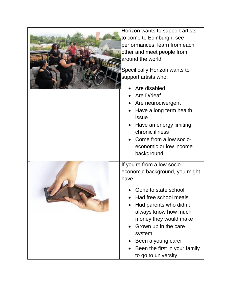| Horizon wants to support artists<br>to come to Edinburgh, see<br>performances, learn from each<br>other and meet people from<br>around the world.<br>Specifically Horizon wants to<br>support artists who:<br>Are disabled<br>Are D/deaf<br>Are neurodivergent<br>Have a long term health<br>issue<br>Have an energy limiting<br>chronic illness<br>Come from a low socio-<br>economic or low income<br>background |
|--------------------------------------------------------------------------------------------------------------------------------------------------------------------------------------------------------------------------------------------------------------------------------------------------------------------------------------------------------------------------------------------------------------------|
| If you're from a low socio-<br>economic background, you might<br>have:<br>Gone to state school<br>Had free school meals<br>Had parents who didn't<br>always know how much<br>money they would make<br>Grown up in the care<br>system<br>Been a young carer<br>Been the first in your family<br>to go to university                                                                                                 |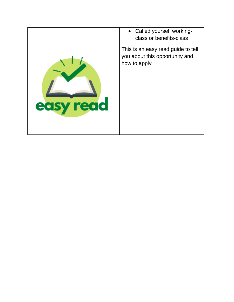|             | • Called yourself working-<br>class or benefits-class                                |
|-------------|--------------------------------------------------------------------------------------|
| read<br>eas | This is an easy read guide to tell<br>you about this opportunity and<br>how to apply |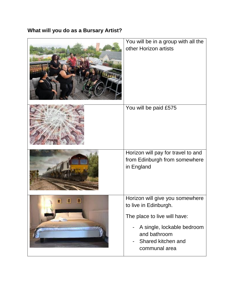# **What will you do as a Bursary Artist?**

| You will be in a group with all the<br>other Horizon artists                                                                                                                  |
|-------------------------------------------------------------------------------------------------------------------------------------------------------------------------------|
| You will be paid £575                                                                                                                                                         |
| Horizon will pay for travel to and<br>from Edinburgh from somewhere<br>in England                                                                                             |
| Horizon will give you somewhere<br>to live in Edinburgh.<br>The place to live will have:<br>A single, lockable bedroom<br>and bathroom<br>Shared kitchen and<br>communal area |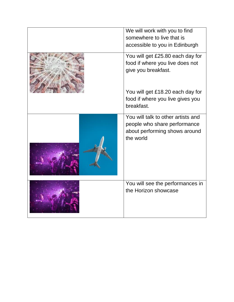| We will work with you to find<br>somewhere to live that is<br>accessible to you in Edinburgh                     |
|------------------------------------------------------------------------------------------------------------------|
| You will get £25.80 each day for<br>food if where you live does not<br>give you breakfast.                       |
| You will get £18.20 each day for<br>food if where you live gives you<br>breakfast.                               |
| You will talk to other artists and<br>people who share performance<br>about performing shows around<br>the world |
| You will see the performances in<br>the Horizon showcase                                                         |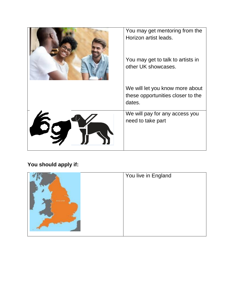| You may get mentoring from the<br>Horizon artist leads.                        |
|--------------------------------------------------------------------------------|
| You may get to talk to artists in<br>other UK showcases.                       |
| We will let you know more about<br>these opportunities closer to the<br>dates. |
| We will pay for any access you<br>need to take part                            |

# **You should apply if:**

|            | You live in England |
|------------|---------------------|
|            |                     |
| 100018-001 |                     |
|            |                     |
|            |                     |
|            |                     |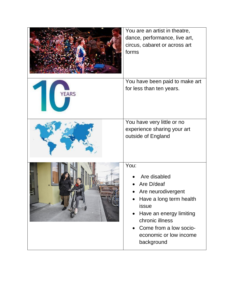|       | You are an artist in theatre,<br>dance, performance, live art,<br>circus, cabaret or across art<br>forms                                                                                                     |
|-------|--------------------------------------------------------------------------------------------------------------------------------------------------------------------------------------------------------------|
| YEARS | You have been paid to make art<br>for less than ten years.                                                                                                                                                   |
|       | You have very little or no<br>experience sharing your art<br>outside of England                                                                                                                              |
|       | You:<br>Are disabled<br>Are D/deaf<br>Are neurodivergent<br>Have a long term health<br>issue<br>Have an energy limiting<br>chronic illness<br>Come from a low socio-<br>economic or low income<br>background |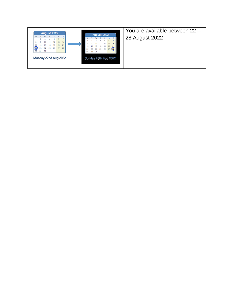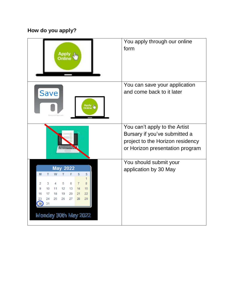# **How do you apply?**

| سا. Apply                                                                  | You apply through our online<br>form |
|----------------------------------------------------------------------------|--------------------------------------|
|                                                                            | You can save your application        |
| Save<br>Apply<br>Online                                                    | and come back to it later            |
|                                                                            | You can't apply to the Artist        |
|                                                                            | Bursary if you've submitted a        |
|                                                                            | project to the Horizon residency     |
|                                                                            | or Horizon presentation program      |
|                                                                            | You should submit your               |
| <b>May 2022</b>                                                            | application by 30 May                |
| S<br>S<br>М<br>т<br>w<br>1                                                 |                                      |
| 5<br>6<br>$\overline{7}$<br>3<br>4<br>8<br>2                               |                                      |
| 12<br>13<br>14<br>15<br>10<br>11<br>22<br>17<br>18<br>19<br>20<br>21<br>16 |                                      |
| 27<br>29<br>24<br>25<br>26<br>28<br>23                                     |                                      |
| 30<br>31                                                                   |                                      |
| Monday 30th May 2022                                                       |                                      |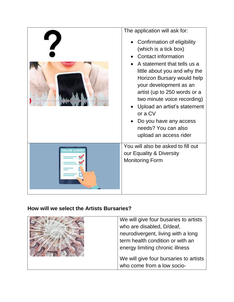| The application will ask for:<br>Confirmation of eligibility<br>(which is a tick box)<br><b>Contact information</b><br>A statement that tells us a<br>little about you and why the<br>Horizon Bursary would help<br>your development as an<br>artist (up to 250 words or a<br>two minute voice recording)<br>Upload an artist's statement<br>or a CV<br>Do you have any access<br>needs? You can also<br>upload an access rider |
|---------------------------------------------------------------------------------------------------------------------------------------------------------------------------------------------------------------------------------------------------------------------------------------------------------------------------------------------------------------------------------------------------------------------------------|
| You will also be asked to fill out<br>our Equality & Diversity<br><b>Monitoring Form</b>                                                                                                                                                                                                                                                                                                                                        |

#### **How will we select the Artists Bursaries?**

| We will give four busaries to artists  |
|----------------------------------------|
| who are disabled, D/deaf,              |
| neurodivergent, living with a long     |
| term health condition or with an       |
| energy limiting chronic illness        |
|                                        |
| We will give four bursaries to artists |
| who come from a low socio-             |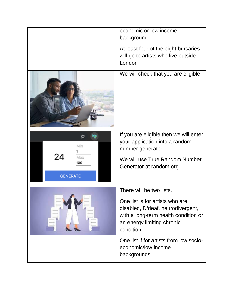|                        | economic or low income<br>background                                                                                                                     |
|------------------------|----------------------------------------------------------------------------------------------------------------------------------------------------------|
|                        | At least four of the eight bursaries<br>will go to artists who live outside<br>London                                                                    |
|                        | We will check that you are eligible                                                                                                                      |
| Min<br>24<br>Max       | If you are eligible then we will enter<br>your application into a random<br>number generator.<br>We will use True Random Number                          |
| 100<br><b>GENERATE</b> | Generator at random.org.                                                                                                                                 |
|                        | There will be two lists.                                                                                                                                 |
|                        | One list is for artists who are<br>disabled, D/deaf, neurodivergent,<br>with a long-term health condition or<br>an energy limiting chronic<br>condition. |
|                        | One list if for artists from low socio-<br>economic/low income<br>backgrounds.                                                                           |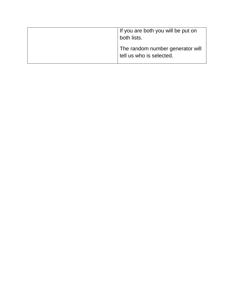| If you are both you will be put on<br>both lists.            |
|--------------------------------------------------------------|
| The random number generator will<br>tell us who is selected. |